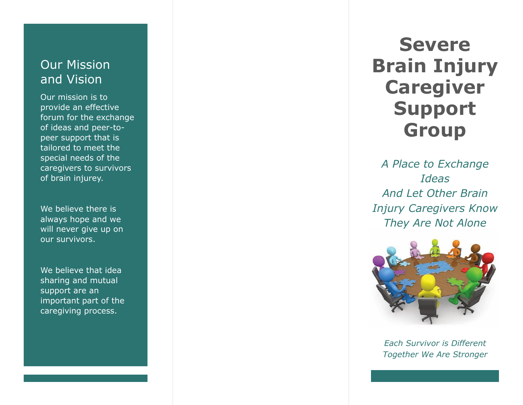## Our Mission and Vision

Our mission is to provide an effective forum for the exchange of ideas and peer -to peer support that is tailored to meet the special needs of the caregivers to survivors of brain injure y .

We believe there is always hope and we will never give up on our survivors .

We believe that idea sharing and mutual support are an important part of the caregiving process.

**Severe Brain Injury Caregiver Support Group**

*A Place to Exchange Ideas And Let Other Brain Injury Caregivers Know They Are Not Alone*



*Each Survivor is Different Together We Are Stronger*